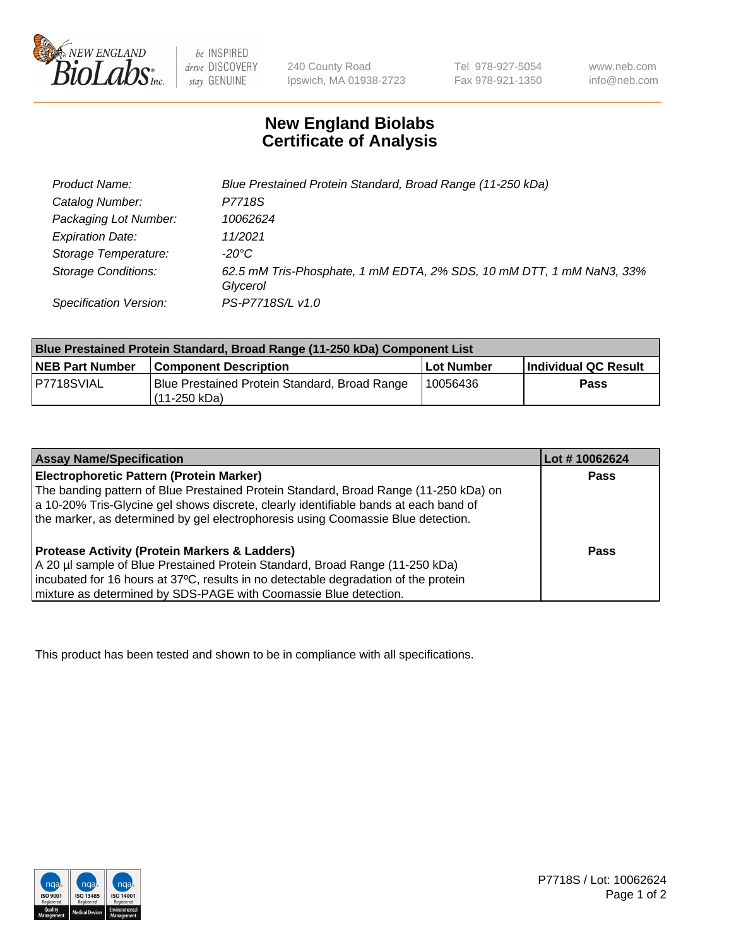

be INSPIRED drive DISCOVERY stay GENUINE

240 County Road Ipswich, MA 01938-2723 Tel 978-927-5054 Fax 978-921-1350

www.neb.com info@neb.com

## **New England Biolabs Certificate of Analysis**

| Product Name:                 | Blue Prestained Protein Standard, Broad Range (11-250 kDa)                       |
|-------------------------------|----------------------------------------------------------------------------------|
| Catalog Number:               | P7718S                                                                           |
| Packaging Lot Number:         | 10062624                                                                         |
| <b>Expiration Date:</b>       | 11/2021                                                                          |
| Storage Temperature:          | -20°C                                                                            |
| <b>Storage Conditions:</b>    | 62.5 mM Tris-Phosphate, 1 mM EDTA, 2% SDS, 10 mM DTT, 1 mM NaN3, 33%<br>Glycerol |
| <b>Specification Version:</b> | PS-P7718S/L v1.0                                                                 |

| Blue Prestained Protein Standard, Broad Range (11-250 kDa) Component List |                                                                 |              |                      |  |
|---------------------------------------------------------------------------|-----------------------------------------------------------------|--------------|----------------------|--|
| <b>NEB Part Number</b>                                                    | <b>Component Description</b>                                    | l Lot Number | Individual QC Result |  |
| P7718SVIAL                                                                | Blue Prestained Protein Standard, Broad Range<br>l (11-250 kDa) | 10056436     | <b>Pass</b>          |  |

| <b>Assay Name/Specification</b>                                                      | Lot #10062624 |
|--------------------------------------------------------------------------------------|---------------|
| Electrophoretic Pattern (Protein Marker)                                             | <b>Pass</b>   |
| The banding pattern of Blue Prestained Protein Standard, Broad Range (11-250 kDa) on |               |
| a 10-20% Tris-Glycine gel shows discrete, clearly identifiable bands at each band of |               |
| the marker, as determined by gel electrophoresis using Coomassie Blue detection.     |               |
|                                                                                      |               |
| <b>Protease Activity (Protein Markers &amp; Ladders)</b>                             | <b>Pass</b>   |
| A 20 µl sample of Blue Prestained Protein Standard, Broad Range (11-250 kDa)         |               |
| incubated for 16 hours at 37°C, results in no detectable degradation of the protein  |               |
| mixture as determined by SDS-PAGE with Coomassie Blue detection.                     |               |

This product has been tested and shown to be in compliance with all specifications.